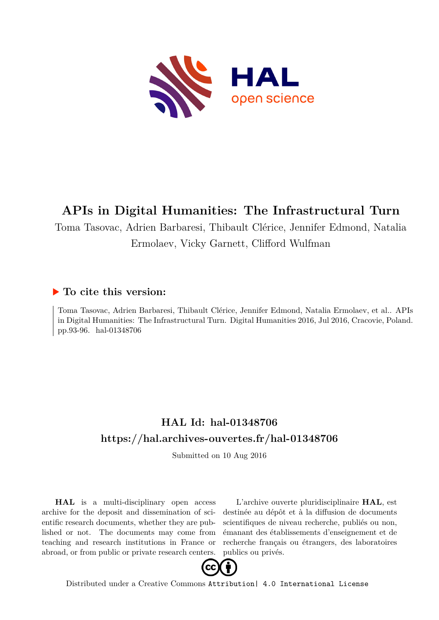

# **APIs in Digital Humanities: The Infrastructural Turn**

Toma Tasovac, Adrien Barbaresi, Thibault Clérice, Jennifer Edmond, Natalia Ermolaev, Vicky Garnett, Clifford Wulfman

### **To cite this version:**

Toma Tasovac, Adrien Barbaresi, Thibault Clérice, Jennifer Edmond, Natalia Ermolaev, et al.. APIs in Digital Humanities: The Infrastructural Turn. Digital Humanities 2016, Jul 2016, Cracovie, Poland. pp.93-96. hal-01348706

## **HAL Id: hal-01348706 <https://hal.archives-ouvertes.fr/hal-01348706>**

Submitted on 10 Aug 2016

**HAL** is a multi-disciplinary open access archive for the deposit and dissemination of scientific research documents, whether they are published or not. The documents may come from teaching and research institutions in France or abroad, or from public or private research centers.

L'archive ouverte pluridisciplinaire **HAL**, est destinée au dépôt et à la diffusion de documents scientifiques de niveau recherche, publiés ou non, émanant des établissements d'enseignement et de recherche français ou étrangers, des laboratoires publics ou privés.



Distributed under a Creative Commons [Attribution| 4.0 International License](http://creativecommons.org/licenses/by/4.0/)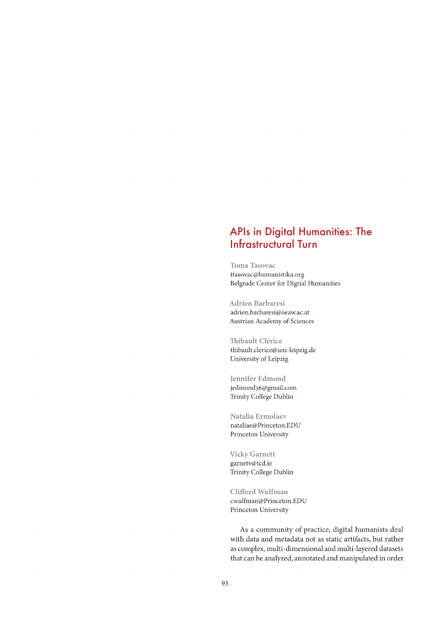### APIs in Digital Humanities: The **Infrastructural Turn**

**Toma Tasovac** ttasovac@humanistika.org Belgrade Center for Digtial Humanities

**Adrien Barbaresi** adrien.barbaresi@oeaw.ac.at Austrian Academy of Sciences

Thibault Clérice thibault.clerice@uni-leipzig.de University of Leipzig

**Jennifer Edmond** jedmond36@gmail.com Trinity College Dublin

Natalia Ermolaev nataliae@Princeton.EDU Princeton University

**Vicky Garnett** garnetv@tcd.ie Trinity College Dublin

Clifford Wulfman cwulfman@Princeton.EDU Princeton University

As a community of practice, digital humanists deal with data and metadata not as static artifacts, but rather as complex, multi-dimensional and multi-layered datasets that can be analyzed, annotated and manipulated in order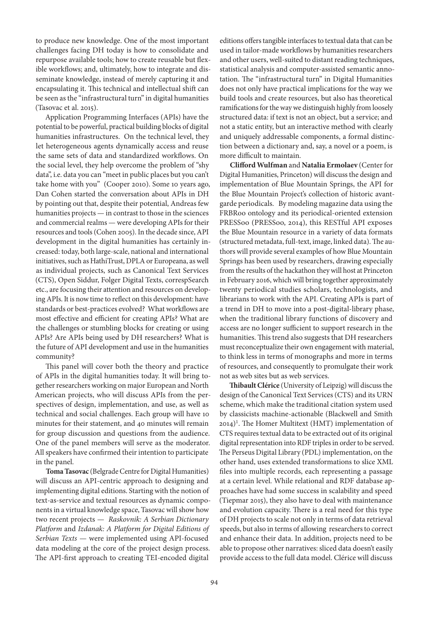to produce new knowledge. One of the most important challenges facing DH today is how to consolidate and repurpose available tools; how to create reusable but flexible workflows; and, ultimately, how to integrate and disseminate knowledge, instead of merely capturing it and encapsulating it. This technical and intellectual shift can be seen as the "infrastructural turn" in digital humanities (Tasovac et al. 2015).

Application Programming Interfaces (APIs) have the potential to be powerful, practical building blocks of digital humanities infrastructures. On the technical level, they let heterogeneous agents dynamically access and reuse the same sets of data and standardized workflows. On the social level, they help overcome the problem of "shy data", i.e. data you can "meet in public places but you can't take home with you" (Cooper 2010). Some 10 years ago, Dan Cohen started the conversation about APIs in DH by pointing out that, despite their potential, Andreas few humanities projects — in contrast to those in the sciences and commercial realms — were developing APIs for their resources and tools (Cohen 2005). In the decade since, API development in the digital humanities has certainly increased: today, both large-scale, national and international initiatives, such as HathiTrust, DPLA or Europeana, as well as individual projects, such as Canonical Text Services (CTS), Open Siddur, Folger Digital Texts, correspSearch etc., are focusing their attention and resources on developing APIs. It is now time to reflect on this development: have standards or best-practices evolved? What workflows are most effective and efficient for creating APIs? What are the challenges or stumbling blocks for creating or using APIs? Are APIs being used by DH researchers? What is the future of API development and use in the humanities community?

This panel will cover both the theory and practice of APIs in the digital humanities today. It will bring together researchers working on major European and North American projects, who will discuss APIs from the perspectives of design, implementation, and use, as well as technical and social challenges. Each group will have 10 minutes for their statement, and 40 minutes will remain for group discussion and questions from the audience. One of the panel members will serve as the moderator. All speakers have confirmed their intention to participate in the panel.

**Toma Tasovac** (Belgrade Centre for Digital Humanities) will discuss an API-centric approach to designing and implementing digital editions. Starting with the notion of text-as-service and textual resources as dynamic components in a virtual knowledge space, Tasovac will show how two recent projects — Raskovnik: A Serbian Dictionary Platform and Izdanak: A Platform for Digital Editions of Serbian Texts — were implemented using API-focused data modeling at the core of the project design process. The API-first approach to creating TEI-encoded digital

editions оffers tangible interfaces to textual data that can be used in tailor-made workflows by humanities researchers and other users, well-suited to distant reading techniques, statistical analysis and computer-assisted semantic annotation. The "infrastructural turn" in Digital Humanities does not only have practical implications for the way we build tools and create resources, but also has theoretical ramifications for the way we distinguish highly from loosely structured data: if text is not an object, but a service; and not a static entity, but an interactive method with clearly and uniquely addressable components, a formal distinction between a dictionary and, say, a novel or a poem, is more difficult to maintain.

**Clifford Wulfman** and **Natalia Ermolaev** (Center for Digital Humanities, Princeton) will discuss the design and implementation of Blue Mountain Springs, the API for the Blue Mountain Project's collection of historic avantgarde periodicals. By modeling magazine data using the FRBRoo ontology and its periodical-oriented extension PRESSoo (PRESSoo, 2014), this RESTful API exposes the Blue Mountain resource in a variety of data formats (structured metadata, full-text, image, linked data). The authors will provide several examples of how Blue Mountain Springs has been used by researchers, drawing especially from the results of the hackathon they will host at Princeton in February 2016, which will bring together approximately twenty periodical studies scholars, technologists, and librarians to work with the API. Creating APIs is part of a trend in DH to move into a post-digital-library phase, when the traditional library functions of discovery and access are no longer sufficient to support research in the humanities. This trend also suggests that DH researchers must reconceptualize their own engagement with material, to think less in terms of monographs and more in terms of resources, and consequently to promulgate their work not as web sites but as web services.

**Thibault Clérice** (University of Leipzig) will discuss the design of the Canonical Text Services (CTS) and its URN scheme, which make the traditional citation system used by classicists machine-actionable (Blackwell and Smith 2014)<sup>1</sup>. The Homer Multitext (HMT) implementation of CTS requires textual data to be extracted out of its original digital representation into RDF triples in order to be served. The Perseus Digital Library (PDL) implementation, on the other hand, uses extended transformations to slice XML files into multiple records, each representing a passage at a certain level. While relational and RDF database approaches have had some success in scalability and speed (Tiepmar 2015), they also have to deal with maintenance and evolution capacity. There is a real need for this type of DH projects to scale not only in terms of data retrieval speeds, but also in terms of allowing researchers to correct and enhance their data. In addition, projects need to be able to propose other narratives: sliced data doesn't easily provide access to the full data model. Clérice will discuss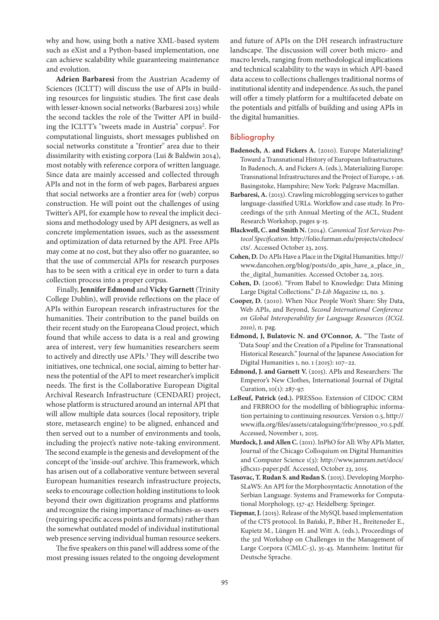why and how, using both a native XML-based system such as eXist and a Python-based implementation, one can achieve scalability while guaranteeing maintenance and evolution.

**Adrien Barbaresi** from the Austrian Academy of Sciences (ICLTT) will discuss the use of APIs in building resources for linguistic studies. The first case deals with lesser-known social networks (Barbaresi 2013) while the second tackles the role of the Twitter API in building the ICLTT's "tweets made in Austria" corpus<sup>2</sup>. For computational linguists, short messages published on social networks constitute a "frontier" area due to their dissimilarity with existing corpora (Lui & Baldwin 2014), most notably with reference corpora of written language. Since data are mainly accessed and collected through APIs and not in the form of web pages, Barbaresi argues that social networks are a frontier area for (web) corpus construction. He will point out the challenges of using Twitter's API, for example how to reveal the implicit decisions and methodology used by API designers, as well as concrete implementation issues, such as the assessment and optimization of data returned by the API. Free APIs may come at no cost, but they also offer no guarantee, so that the use of commercial APIs for research purposes has to be seen with a critical eye in order to turn a data collection process into a proper corpus.

Finally, **Jennifer Edmond** and **Vicky Garnett** (Trinity College Dublin), will provide reflections on the place of APIs within European research infrastructures for the humanities. Their contribution to the panel builds on their recent study on the Europeana Cloud project, which found that while access to data is a real and growing area of interest, very few humanities researchers seem to actively and directly use APIs.<sup>3</sup> They will describe two initiatives, one technical, one social, aiming to better harness the potential of the API to meet researcher's implicit needs. The first is the Collaborative European Digital Archival Research Infrastructure (CENDARI) project, whose platform is structured around an internal API that will allow multiple data sources (local repository, triple store, metasearch engine) to be aligned, enhanced and then served out to a number of environments and tools, including the project's native note-taking environment. The second example is the genesis and development of the concept of the 'inside-out' archive. This framework, which has arisen out of a collaborative venture between several European humanities research infrastructure projects, seeks to encourage collection holding institutions to look beyond their own digitization programs and platforms and recognize the rising importance of machines-as-users (requiring specific access points and formats) rather than the somewhat outdated model of individual institutional web presence serving individual human resource seekers.

The five speakers on this panel will address some of the most pressing issues related to the ongoing development

and future of APIs on the DH research infrastructure landscape. The discussion will cover both micro- and macro levels, ranging from methodological implications and technical scalability to the ways in which API-based data access to collections challenges traditional norms of institutional identity and independence. As such, the panel will offer a timely platform for a multifaceted debate on the potentials and pitfalls of building and using APIs in the digital humanities.

#### Bibliography

- **Badenoch, A. and Fickers A.** (2010). Europe Materializing? Toward a Transnational History of European Infrastructures. In Badenoch, A. and Fickers A. (eds.), Materializing Europe: Transnational Infrastructures and the Project of Europe, 1-26. Basingstoke, Hampshire; New York: Palgrave Macmillan.
- Barbaresi, A. (2013). Crawling microblogging services to gather language-classified URLs. Workflow and case study. In Proceedings of the 51th Annual Meeting of the ACL, Student Research Workshop, pages 9-15.
- **Blackwell, C. and Smith N.** (2014). Canonical Text Services Protocol Specification. http://folio.furman.edu/projects/citedocs/ cts/. Accessed October 23, 2015.
- **Cohen, D.** Do APIs Have a Place in the Digital Humanities. http:// www.dancohen.org/blog/posts/do\_apis\_have\_a\_place\_in\_ the\_digital\_humanities. Accessed October 24, 2015.
- **Cohen, D.** (2006). "From Babel to Knowledge: Data Mining Large Digital Collections." D-Lib Magazine 12, no. 3.
- **Cooper, D.** (2010). When Nice People Won't Share: Shy Data, Web APIs, and Beyond, Second International Conference on Global Interoperability for Language Resources (ICGL 2010), n. pag.
- **Edmond, J, Bulatovic N. and O'Connor, A.** "The Taste of 'Data Soup' and the Creation of a Pipeline for Transnational Historical Research." Journal of the Japanese Association for Digital Humanities 1, no. 1 (2015): 107–22.
- **Edmond, J. and Garnett V.** (2015). APIs and Researchers: The Emperor's New Clothes, International Journal of Digital Curation, 10(1): 287-97.
- **LeBeuf, Patrick (ed.).** PRESSoo. Extension of CIDOC CRM and FRBROO for the modelling of bibliographic information pertaining to continuing resources. Version 0.5, http:// www.ifla.org/files/assets/cataloguing/frbr/pressoo\_v0.5.pdf. Accessed, November 1, 2015.
- **Murdock, J. and Allen C.** (2011). InPhO for All: Why APIs Matter, Journal of the Chicago Colloquium on Digital Humanities and Computer Science 1(3): http://www.jamram.net/docs/ jdhcs11-paper.pdf. Accessed, October 23, 2015.
- **Tasovac, T. Rudan S. and Rudan S.** (2015). Developing Morpho-SLaWS: An API for the Morphosyntactic Annotation of the Serbian Language. Systems and Frameworks for Computational Morphology, 137-47. Heidelberg: Springer.
- **Tiepmar, J.** (2015). Release of the MySQL based implementation of the CTS protocol. In Bański, P., Biber H., Breiteneder E., Kupietz M., Lüngen H. and Witt A. (eds.), Proceedings of the 3rd Workshop on Challenges in the Management of Large Corpora (CMLC-3), 35-43. Mannheim: Institut für Deutsche Sprache.